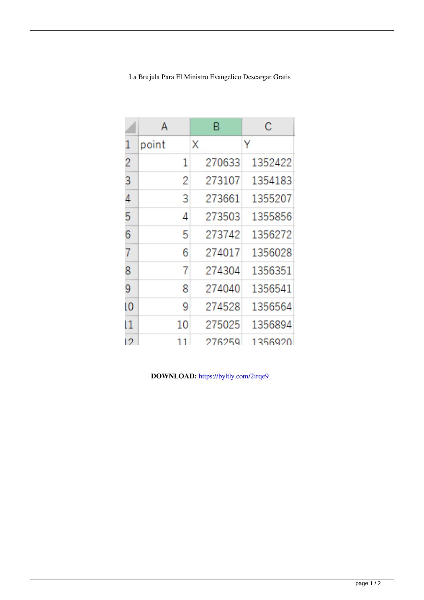|                | А     | B      | С       |
|----------------|-------|--------|---------|
| 1              | point | Χ      | Y       |
| 2              | 1     | 270633 | 1352422 |
| 3              | 2     | 273107 | 1354183 |
| 4              | 3     | 273661 | 1355207 |
| 5              | 4     | 273503 | 1355856 |
| 6              | 5     | 273742 | 1356272 |
| 7              | 6     | 274017 | 1356028 |
| 8              | 7     | 274304 | 1356351 |
| 9              | 8     | 274040 | 1356541 |
| $\overline{0}$ | 9     | 274528 | 1356564 |
| 11             | 10    | 275025 | 1356894 |
| 12             | 11    | 276259 | 1356920 |

La Brujula Para El Ministro Evangelico Descargar Gratis

DOWNLOAD: https://byltly.com/2irqe9